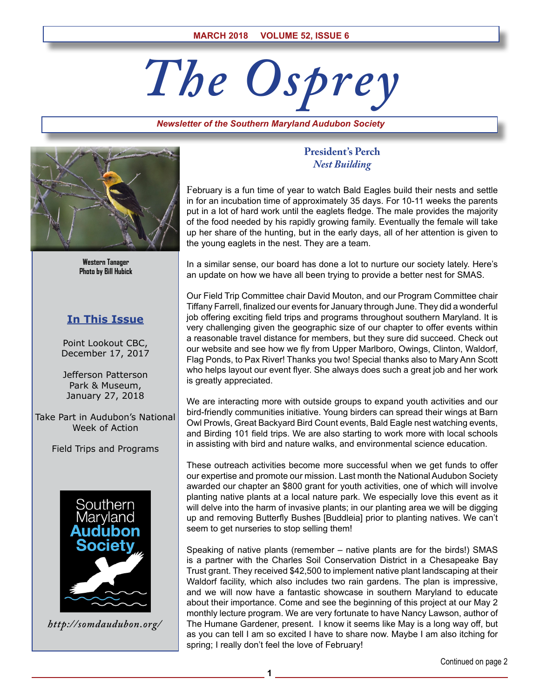# *The Osprey*

*Newsletter of the Southern Maryland Audubon Society*



**Western Tanager Photo by Bill Hubick**

# **In This Issue**

Point Lookout CBC, December 17, 2017

Jefferson Patterson Park & Museum, January 27, 2018

Take Part in Audubon's National Week of Action

Field Trips and Programs



*http://somdaudubon.org/*

# **President's Perch** *Nest Building*

February is a fun time of year to watch Bald Eagles build their nests and settle in for an incubation time of approximately 35 days. For 10-11 weeks the parents put in a lot of hard work until the eaglets fledge. The male provides the majority of the food needed by his rapidly growing family. Eventually the female will take up her share of the hunting, but in the early days, all of her attention is given to the young eaglets in the nest. They are a team.

In a similar sense, our board has done a lot to nurture our society lately. Here's an update on how we have all been trying to provide a better nest for SMAS.

Our Field Trip Committee chair David Mouton, and our Program Committee chair Tiffany Farrell, finalized our events for January through June. They did a wonderful job offering exciting field trips and programs throughout southern Maryland. It is very challenging given the geographic size of our chapter to offer events within a reasonable travel distance for members, but they sure did succeed. Check out our website and see how we fly from Upper Marlboro, Owings, Clinton, Waldorf, Flag Ponds, to Pax River! Thanks you two! Special thanks also to Mary Ann Scott who helps layout our event flyer. She always does such a great job and her work is greatly appreciated.

We are interacting more with outside groups to expand youth activities and our bird-friendly communities initiative. Young birders can spread their wings at Barn Owl Prowls, Great Backyard Bird Count events, Bald Eagle nest watching events, and Birding 101 field trips. We are also starting to work more with local schools in assisting with bird and nature walks, and environmental science education.

These outreach activities become more successful when we get funds to offer our expertise and promote our mission. Last month the National Audubon Society awarded our chapter an \$800 grant for youth activities, one of which will involve planting native plants at a local nature park. We especially love this event as it will delve into the harm of invasive plants; in our planting area we will be digging up and removing Butterfly Bushes [Buddleia] prior to planting natives. We can't seem to get nurseries to stop selling them!

Speaking of native plants (remember – native plants are for the birds!) SMAS is a partner with the Charles Soil Conservation District in a Chesapeake Bay Trust grant. They received \$42,500 to implement native plant landscaping at their Waldorf facility, which also includes two rain gardens. The plan is impressive, and we will now have a fantastic showcase in southern Maryland to educate about their importance. Come and see the beginning of this project at our May 2 monthly lecture program. We are very fortunate to have Nancy Lawson, author of The Humane Gardener, present. I know it seems like May is a long way off, but as you can tell I am so excited I have to share now. Maybe I am also itching for spring; I really don't feel the love of February!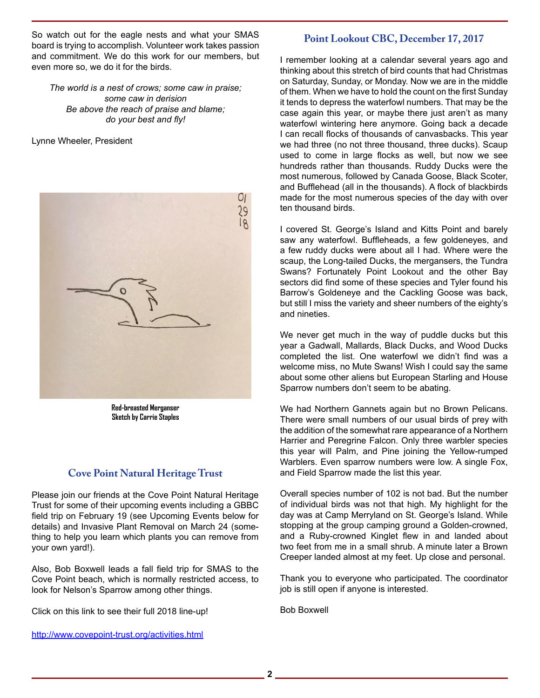So watch out for the eagle nests and what your SMAS board is trying to accomplish. Volunteer work takes passion and commitment. We do this work for our members, but even more so, we do it for the birds.

*The world is a nest of crows; some caw in praise; some caw in derision Be above the reach of praise and blame; do your best and fly!*

Lynne Wheeler, President



**Red-breasted Merganser Sketch by Carrie Staples**

# **Cove Point Natural Heritage Trust**

Please join our friends at the Cove Point Natural Heritage Trust for some of their upcoming events including a GBBC field trip on February 19 (see Upcoming Events below for details) and Invasive Plant Removal on March 24 (something to help you learn which plants you can remove from your own yard!).

Also, Bob Boxwell leads a fall field trip for SMAS to the Cove Point beach, which is normally restricted access, to look for Nelson's Sparrow among other things.

Click on this link to see their full 2018 line-up!

http://www.covepoint-trust.org/activities.html

# **Point Lookout CBC, December 17, 2017**

I remember looking at a calendar several years ago and thinking about this stretch of bird counts that had Christmas on Saturday, Sunday, or Monday. Now we are in the middle of them. When we have to hold the count on the first Sunday it tends to depress the waterfowl numbers. That may be the case again this year, or maybe there just aren't as many waterfowl wintering here anymore. Going back a decade I can recall flocks of thousands of canvasbacks. This year we had three (no not three thousand, three ducks). Scaup used to come in large flocks as well, but now we see hundreds rather than thousands. Ruddy Ducks were the most numerous, followed by Canada Goose, Black Scoter, and Bufflehead (all in the thousands). A flock of blackbirds made for the most numerous species of the day with over ten thousand birds.

I covered St. George's Island and Kitts Point and barely saw any waterfowl. Buffleheads, a few goldeneyes, and a few ruddy ducks were about all I had. Where were the scaup, the Long-tailed Ducks, the mergansers, the Tundra Swans? Fortunately Point Lookout and the other Bay sectors did find some of these species and Tyler found his Barrow's Goldeneye and the Cackling Goose was back, but still I miss the variety and sheer numbers of the eighty's and nineties.

We never get much in the way of puddle ducks but this year a Gadwall, Mallards, Black Ducks, and Wood Ducks completed the list. One waterfowl we didn't find was a welcome miss, no Mute Swans! Wish I could say the same about some other aliens but European Starling and House Sparrow numbers don't seem to be abating.

We had Northern Gannets again but no Brown Pelicans. There were small numbers of our usual birds of prey with the addition of the somewhat rare appearance of a Northern Harrier and Peregrine Falcon. Only three warbler species this year will Palm, and Pine joining the Yellow-rumped Warblers. Even sparrow numbers were low. A single Fox, and Field Sparrow made the list this year.

Overall species number of 102 is not bad. But the number of individual birds was not that high. My highlight for the day was at Camp Merryland on St. George's Island. While stopping at the group camping ground a Golden-crowned, and a Ruby-crowned Kinglet flew in and landed about two feet from me in a small shrub. A minute later a Brown Creeper landed almost at my feet. Up close and personal.

Thank you to everyone who participated. The coordinator job is still open if anyone is interested.

Bob Boxwell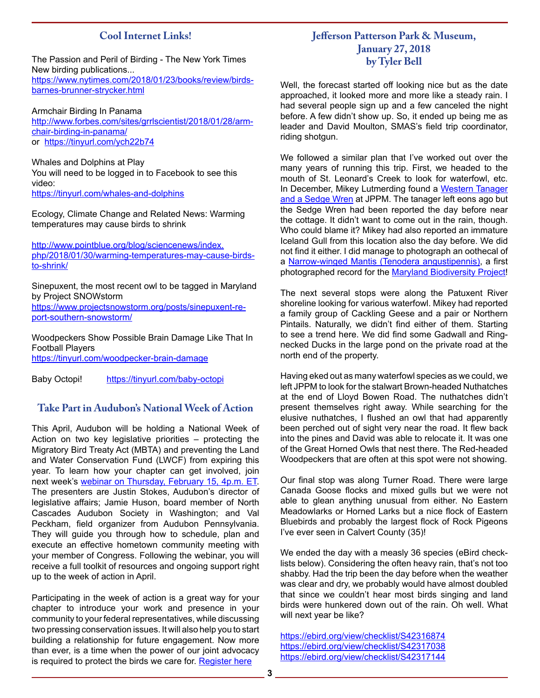# **Cool Internet Links!**

The Passion and Peril of Birding - The New York Times New birding publications... [https://www.nytimes.com/2018/01/23/books/review/birds](https://www.nytimes.com/2018/01/23/books/review/birds-barnes-brunner-strycker.html)[barnes-brunner-strycker.html](https://www.nytimes.com/2018/01/23/books/review/birds-barnes-brunner-strycker.html)

Armchair Birding In Panama [http://www.forbes.com/sites/grrlscientist/2018/01/28/arm](http://www.forbes.com/sites/grrlscientist/2018/01/28/armchair-birding-in-panama/)[chair-birding-in-panama/](http://www.forbes.com/sites/grrlscientist/2018/01/28/armchair-birding-in-panama/) or <https://tinyurl.com/ych22b74>

Whales and Dolphins at Play You will need to be logged in to Facebook to see this video: <https://tinyurl.com/whales-and-dolphins>

Ecology, Climate Change and Related News: Warming temperatures may cause birds to shrink

[http://www.pointblue.org/blog/sciencenews/index.](http://www.pointblue.org/blog/sciencenews/index.php/2018/01/30/warming-temperatures-may-cause-birds-to-shrink/) [php/2018/01/30/warming-temperatures-may-cause-birds](http://www.pointblue.org/blog/sciencenews/index.php/2018/01/30/warming-temperatures-may-cause-birds-to-shrink/)[to-shrink/](http://www.pointblue.org/blog/sciencenews/index.php/2018/01/30/warming-temperatures-may-cause-birds-to-shrink/)

Sinepuxent, the most recent owl to be tagged in Maryland by Project SNOWstorm [https://www.projectsnowstorm.org/posts/sinepuxent-re-](https://www.projectsnowstorm.org/posts/sinepuxent-report-southern-snowstorm/)

[port-southern-snowstorm/](https://www.projectsnowstorm.org/posts/sinepuxent-report-southern-snowstorm/)

Woodpeckers Show Possible Brain Damage Like That In Football Players

<https://tinyurl.com/woodpecker-brain-damage>

Baby Octopi! <https://tinyurl.com/baby-octopi>

## **Take Part in Audubon's National Week of Action**

This April, Audubon will be holding a National Week of Action on two key legislative priorities – protecting the Migratory Bird Treaty Act (MBTA) and preventing the Land and Water Conservation Fund (LWCF) from expiring this year. To learn how your chapter can get involved, join next week's [webinar on Thursday, February 15, 4p.m. ET](https://attendee.gototraining.com/r/6932839014968533506). The presenters are Justin Stokes, Audubon's director of legislative affairs; Jamie Huson, board member of North Cascades Audubon Society in Washington; and Val Peckham, field organizer from Audubon Pennsylvania. They will guide you through how to schedule, plan and execute an effective hometown community meeting with your member of Congress. Following the webinar, you will receive a full toolkit of resources and ongoing support right up to the week of action in April.

Participating in the week of action is a great way for your chapter to introduce your work and presence in your community to your federal representatives, while discussing two pressing conservation issues. It will also help you to start building a relationship for future engagement. Now more than ever, is a time when the power of our joint advocacy is required to protect the birds we care for. [Register here](https://attendee.gototraining.com/r/6932839014968533506)

# **Jefferson Patterson Park & Museum, January 27, 2018 by Tyler Bell**

Well, the forecast started off looking nice but as the date approached, it looked more and more like a steady rain. I had several people sign up and a few canceled the night before. A few didn't show up. So, it ended up being me as leader and David Moulton, SMAS's field trip coordinator, riding shotgun.

We followed a similar plan that I've worked out over the many years of running this trip. First, we headed to the mouth of St. Leonard's Creek to look for waterfowl, etc. In December, Mikey Lutmerding found a Western Tanager [and a Sedge Wren](https://ebird.org/view/checklist/S40859808) at JPPM. The tanager left eons ago but the Sedge Wren had been reported the day before near the cottage. It didn't want to come out in the rain, though. Who could blame it? Mikey had also reported an immature Iceland Gull from this location also the day before. We did not find it either. I did manage to photograph an oothecal of a [Narrow-winged Mantis \(Tenodera angustipennis\)](https://www.marylandbiodiversity.com/viewSpecies.php?species=18215), a first photographed record for the [Maryland Biodiversity Project](https://www.marylandbiodiversity.com/)!

The next several stops were along the Patuxent River shoreline looking for various waterfowl. Mikey had reported a family group of Cackling Geese and a pair or Northern Pintails. Naturally, we didn't find either of them. Starting to see a trend here. We did find some Gadwall and Ringnecked Ducks in the large pond on the private road at the north end of the property.

Having eked out as many waterfowl species as we could, we left JPPM to look for the stalwart Brown-headed Nuthatches at the end of Lloyd Bowen Road. The nuthatches didn't present themselves right away. While searching for the elusive nuthatches, I flushed an owl that had apparently been perched out of sight very near the road. It flew back into the pines and David was able to relocate it. It was one of the Great Horned Owls that nest there. The Red-headed Woodpeckers that are often at this spot were not showing.

Our final stop was along Turner Road. There were large Canada Goose flocks and mixed gulls but we were not able to glean anything unusual from either. No Eastern Meadowlarks or Horned Larks but a nice flock of Eastern Bluebirds and probably the largest flock of Rock Pigeons I've ever seen in Calvert County (35)!

We ended the day with a measly 36 species (eBird checklists below). Considering the often heavy rain, that's not too shabby. Had the trip been the day before when the weather was clear and dry, we probably would have almost doubled that since we couldn't hear most birds singing and land birds were hunkered down out of the rain. Oh well. What will next year be like?

<https://ebird.org/view/checklist/S42316874> <https://ebird.org/view/checklist/S42317038> <https://ebird.org/view/checklist/S42317144>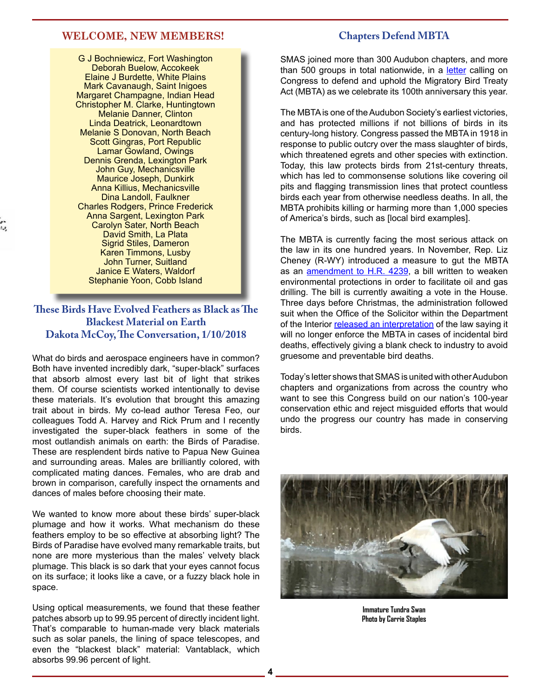#### **WELCOME, NEW MEMBERS! Chapters Defend MBTA**

G J Bochniewicz, Fort Washington Deborah Buelow, Accokeek Elaine J Burdette, White Plains Mark Cavanaugh, Saint Inigoes Margaret Champagne, Indian Head Christopher M. Clarke, Huntingtown Melanie Danner, Clinton Linda Deatrick, Leonardtown Melanie S Donovan, North Beach Scott Gingras, Port Republic Lamar Gowland, Owings Dennis Grenda, Lexington Park John Guy, Mechanicsville Maurice Joseph, Dunkirk Anna Killius, Mechanicsville Dina Landoll, Faulkner Charles Rodgers, Prince Frederick Anna Sargent, Lexington Park Carolyn Sater, North Beach David Smith, La Plata Sigrid Stiles, Dameron Karen Timmons, Lusby John Turner, Suitland Janice E Waters, Waldorf Stephanie Yoon, Cobb Island

# **These Birds Have Evolved Feathers as Black as The Blackest Material on Earth Dakota McCoy, The Conversation, 1/10/2018**

What do birds and aerospace engineers have in common? Both have invented incredibly dark, "super-black" surfaces that absorb almost every last bit of light that strikes them. Of course scientists worked intentionally to devise these materials. It's evolution that brought this amazing trait about in birds. My co-lead author Teresa Feo, our colleagues Todd A. Harvey and Rick Prum and I recently investigated the super-black feathers in some of the most outlandish animals on earth: the Birds of Paradise. These are resplendent birds native to Papua New Guinea and surrounding areas. Males are brilliantly colored, with complicated mating dances. Females, who are drab and brown in comparison, carefully inspect the ornaments and dances of males before choosing their mate.

We wanted to know more about these birds' super-black plumage and how it works. What mechanism do these feathers employ to be so effective at absorbing light? The Birds of Paradise have evolved many remarkable traits, but none are more mysterious than the males' velvety black plumage. This black is so dark that your eyes cannot focus on its surface; it looks like a cave, or a fuzzy black hole in space.

Using optical measurements, we found that these feather patches absorb up to 99.95 percent of directly incident light. That's comparable to human-made very black materials such as solar panels, the lining of space telescopes, and even the "blackest black" material: Vantablack, which absorbs 99.96 percent of light.

SMAS joined more than 300 Audubon chapters, and more than 500 groups in total nationwide, in a [letter](https://www.audubon.org/sites/default/files/migratory_bird_treaty_act_letter_to_congress_from_513_groups_0.pdf) calling on Congress to defend and uphold the Migratory Bird Treaty Act (MBTA) as we celebrate its 100th anniversary this year.

The MBTA is one of the Audubon Society's earliest victories, and has protected millions if not billions of birds in its century-long history. Congress passed the MBTA in 1918 in response to public outcry over the mass slaughter of birds, which threatened egrets and other species with extinction. Today, this law protects birds from 21st-century threats, which has led to commonsense solutions like covering oil pits and flagging transmission lines that protect countless birds each year from otherwise needless deaths. In all, the MBTA prohibits killing or harming more than 1,000 species of America's birds, such as [local bird examples].

The MBTA is currently facing the most serious attack on the law in its one hundred years. In November, Rep. Liz Cheney (R-WY) introduced a measure to gut the MBTA as an **[amendment to H.R. 4239](http://www.audubon.org/news/congresswoman-liz-cheney-introduces-bird-killer-amendment)**, a bill written to weaken environmental protections in order to facilitate oil and gas drilling. The bill is currently awaiting a vote in the House. Three days before Christmas, the administration followed suit when the Office of the Solicitor within the Department of the Interior [released an interpretation](http://www.audubon.org/news/the-white-house-turns-its-back-americas-birds) of the law saying it will no longer enforce the MBTA in cases of incidental bird deaths, effectively giving a blank check to industry to avoid gruesome and preventable bird deaths.

Today's letter shows that SMAS is united with other Audubon chapters and organizations from across the country who want to see this Congress build on our nation's 100-year conservation ethic and reject misguided efforts that would undo the progress our country has made in conserving birds.



**Immature Tundra Swan Photo by Carrie Staples**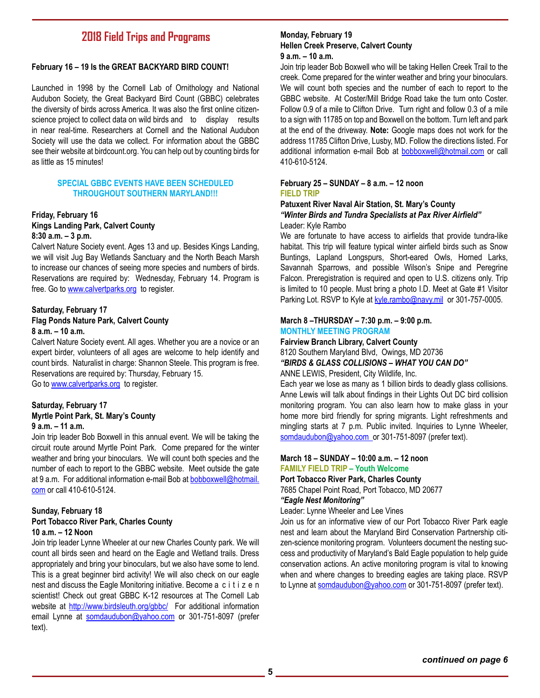# **2018 Field Trips and Programs**

#### **February 16 – 19 Is the GREAT BACKYARD BIRD COUNT!**

Launched in 1998 by the Cornell Lab of Ornithology and National Audubon Society, the Great Backyard Bird Count (GBBC) celebrates the diversity of birds across America. It was also the first online citizenscience project to collect data on wild birds and to display results in near real-time. Researchers at Cornell and the National Audubon Society will use the data we collect. For information about the GBBC see their website at birdcount.org. You can help out by counting birds for as little as 15 minutes!

#### **SPECIAL GBBC EVENTS HAVE BEEN SCHEDULED THROUGHOUT SOUTHERN MARYLAND!!!**

#### **Friday, February 16 Kings Landing Park, Calvert County 8:30 a.m. – 3 p.m.**

Calvert Nature Society event. Ages 13 and up. Besides Kings Landing, we will visit Jug Bay Wetlands Sanctuary and the North Beach Marsh to increase our chances of seeing more species and numbers of birds. Reservations are required by: Wednesday, February 14. Program is free. Go to **www.calvertparks.org** to register.

#### **Saturday, February 17 Flag Ponds Nature Park, Calvert County 8 a.m. – 10 a.m.**

Calvert Nature Society event. All ages. Whether you are a novice or an expert birder, volunteers of all ages are welcome to help identify and count birds. Naturalist in charge: Shannon Steele. This program is free. Reservations are required by: Thursday, February 15. Go to [www.calvertparks.org](http://www.calvertparks.org) to register.

# **Saturday, February 17 Myrtle Point Park, St. Mary's County**

### **9 a.m. – 11 a.m.**

Join trip leader Bob Boxwell in this annual event. We will be taking the circuit route around Myrtle Point Park. Come prepared for the winter weather and bring your binoculars. We will count both species and the number of each to report to the GBBC website. Meet outside the gate at 9 a.m. For additional information e-mail Bob at [bobboxwell@hotmail.](mailto:bobboxwell@hotmail.com) [com](mailto:bobboxwell@hotmail.com) or call 410-610-5124.

#### **Sunday, February 18 Port Tobacco River Park, Charles County 10 a.m. – 12 Noon**

Join trip leader Lynne Wheeler at our new Charles County park. We will count all birds seen and heard on the Eagle and Wetland trails. Dress appropriately and bring your binoculars, but we also have some to lend. This is a great beginner bird activity! We will also check on our eagle nest and discuss the Eagle Monitoring initiative. Become a c i t i z e n scientist! Check out great GBBC K-12 resources at The Cornell Lab website at <http://www.birdsleuth.org/gbbc/> For additional information email Lynne at [somdaudubon@yahoo.com](mailto:somdaudubon@yahoo.com) or 301-751-8097 (prefer text).

#### **Monday, February 19 Hellen Creek Preserve, Calvert County 9 a.m. – 10 a.m.**

Join trip leader Bob Boxwell who will be taking Hellen Creek Trail to the creek. Come prepared for the winter weather and bring your binoculars. We will count both species and the number of each to report to the GBBC website. At Coster/Mill Bridge Road take the turn onto Coster. Follow 0.9 of a mile to Clifton Drive. Turn right and follow 0.3 of a mile to a sign with 11785 on top and Boxwell on the bottom. Turn left and park at the end of the driveway. **Note:** Google maps does not work for the address 11785 Clifton Drive, Lusby, MD. Follow the directions listed. For additional information e-mail Bob at [bobboxwell@hotmail.com](mailto:bobboxwell@hotmail.com) or call 410-610-5124.

#### **February 25 – SUNDAY – 8 a.m. – 12 noon FIELD TRIP**

#### **Patuxent River Naval Air Station, St. Mary's County** *"Winter Birds and Tundra Specialists at Pax River Airfield"* Leader: Kyle Rambo

We are fortunate to have access to airfields that provide tundra-like habitat. This trip will feature typical winter airfield birds such as Snow Buntings, Lapland Longspurs, Short-eared Owls, Horned Larks, Savannah Sparrows, and possible Wilson's Snipe and Peregrine Falcon. Preregistration is required and open to U.S. citizens only. Trip is limited to 10 people. Must bring a photo I.D. Meet at Gate #1 Visitor Parking Lot. RSVP to Kyle at [kyle.rambo@navy.mil](mailto:kyle.rambo@navy.mil) or [301-757-0005](tel:301-757-0005).

# **March 8 –THURSDAY – 7:30 p.m. – 9:00 p.m.**

# **MONTHLY MEETING PROGRAM**

**Fairview Branch Library, Calvert County** 8120 Southern Maryland Blvd, Owings, MD 20736

*"BIRDS & GLASS COLLISIONS – WHAT YOU CAN DO"*

ANNE LEWIS, President, City Wildlife, Inc.

Each year we lose as many as 1 billion birds to deadly glass collisions. Anne Lewis will talk about findings in their Lights Out DC bird collision monitoring program. You can also learn how to make glass in your home more bird friendly for spring migrants. Light refreshments and mingling starts at 7 p.m. Public invited. Inquiries to Lynne Wheeler, [somdaudubon@yahoo.com](mailto:somdaudubon@yahoo.com) or 301-751-8097 (prefer text).

#### **March 18 – SUNDAY – 10:00 a.m. – 12 noon FAMILY FIELD TRIP – Youth Welcome**

**Port Tobacco River Park, Charles County**

7685 Chapel Point Road, Port Tobacco, MD 20677 *"Eagle Nest Monitoring"*

Leader: Lynne Wheeler and Lee Vines

Join us for an informative view of our Port Tobacco River Park eagle nest and learn about the Maryland Bird Conservation Partnership citizen-science monitoring program. Volunteers document the nesting success and productivity of Maryland's Bald Eagle population to help guide conservation actions. An active monitoring program is vital to knowing when and where changes to breeding eagles are taking place. RSVP to Lynne at [somdaudubon@yahoo.com](mailto:somdaudubon@yahoo.com) or 301-751-8097 (prefer text).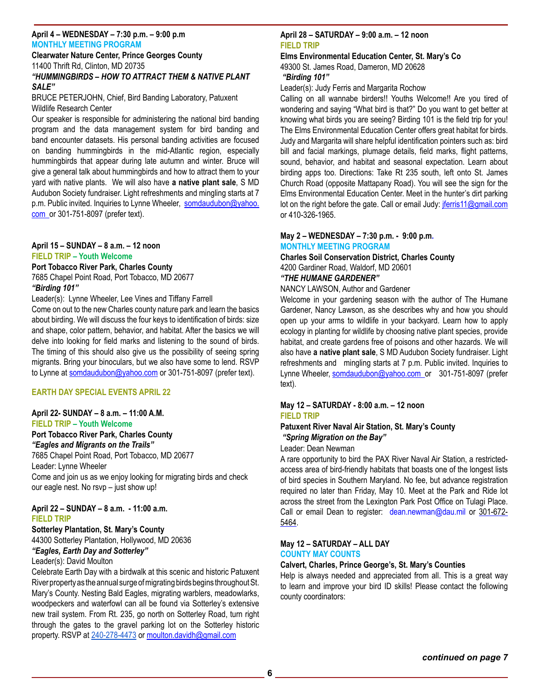### **April 4 – WEDNESDAY – 7:30 p.m. – 9:00 p.m MONTHLY MEETING PROGRAM**

**Clearwater Nature Center, Prince Georges County** 11400 Thrift Rd, Clinton, MD 20735 *"HUMMINGBIRDS – HOW TO ATTRACT THEM & NATIVE PLANT* 

#### *SALE"*

BRUCE PETERJOHN, Chief, Bird Banding Laboratory, Patuxent Wildlife Research Center

Our speaker is responsible for administering the national bird banding program and the data management system for bird banding and band encounter datasets. His personal banding activities are focused on banding hummingbirds in the mid-Atlantic region, especially hummingbirds that appear during late autumn and winter. Bruce will give a general talk about hummingbirds and how to attract them to your yard with native plants. We will also have **a native plant sale**, S MD Audubon Society fundraiser. Light refreshments and mingling starts at 7 p.m. Public invited. Inquiries to Lynne Wheeler, somdaudubon@yahoo. com or 301-751-8097 (prefer text).

#### **April 15 – SUNDAY – 8 a.m. – 12 noon FIELD TRIP – Youth Welcome**

#### **Port Tobacco River Park, Charles County**

7685 Chapel Point Road, Port Tobacco, MD 20677 *"Birding 101"*

Leader(s): Lynne Wheeler, Lee Vines and Tiffany Farrell

Come on out to the new Charles county nature park and learn the basics about birding. We will discuss the four keys to identification of birds: size and shape, color pattern, behavior, and habitat. After the basics we will delve into looking for field marks and listening to the sound of birds. The timing of this should also give us the possibility of seeing spring migrants. Bring your binoculars, but we also have some to lend. RSVP to Lynne at [somdaudubon@yahoo.com](mailto:somdaudubon@yahoo.com) or 301-751-8097 (prefer text).

### **EARTH DAY SPECIAL EVENTS APRIL 22**

#### **April 22- SUNDAY – 8 a.m. – 11:00 A.M.**

**FIELD TRIP – Youth Welcome** 

**Port Tobacco River Park, Charles County**

*"Eagles and Migrants on the Trails"* 7685 Chapel Point Road, Port Tobacco, MD 20677 Leader: Lynne Wheeler

Come and join us as we enjoy looking for migrating birds and check our eagle nest. No rsvp – just show up!

#### **April 22 – SUNDAY – 8 a.m. - 11:00 a.m. FIELD TRIP**

#### **Sotterley Plantation, St. Mary's County** 44300 Sotterley Plantation, Hollywood, MD 20636 *"Eagles, Earth Day and Sotterley"*

#### Leader(s): David Moulton

Celebrate Earth Day with a birdwalk at this scenic and historic Patuxent Riverproperty as the annual surge of migrating birds begins throughout St. Mary's County. Nesting Bald Eagles, migrating warblers, meadowlarks, woodpeckers and waterfowl can all be found via Sotterley's extensive new trail system. From Rt. 235, go north on Sotterley Road, turn right through the gates to the gravel parking lot on the Sotterley historic property. RSVP at 240-278-4473 or [moulton.davidh@gmail.com](mailto:moulton.davidh@gmail.com)

#### **April 28 – SATURDAY – 9:00 a.m. – 12 noon FIELD TRIP**

#### **Elms Environmental Education Center, St. Mary's Co**  49300 St. James Road, Dameron, MD 20628

#### *"Birding 101"*

Leader(s): Judy Ferris and Margarita Rochow

Calling on all wannabe birders!! Youths Welcome!! Are you tired of wondering and saying "What bird is that?" Do you want to get better at knowing what birds you are seeing? Birding 101 is the field trip for you! The Elms Environmental Education Center offers great habitat for birds. Judy and Margarita will share helpful identification pointers such as: bird bill and facial markings, plumage details, field marks, flight patterns, sound, behavior, and habitat and seasonal expectation. Learn about birding apps too. Directions: Take Rt 235 south, left onto St. James Church Road (opposite Mattapany Road). You will see the sign for the Elms Environmental Education Center. Meet in the hunter's dirt parking lot on the right before the gate. Call or email Judy: *[jferris11@gmail.com](mailto:jferris11@gmail.com)* or 410-326-1965.

#### **May 2 – WEDNESDAY – 7:30 p.m. - 9:00 p.m. MONTHLY MEETING PROGRAM**

**Charles Soil Conservation District, Charles County** 4200 Gardiner Road, Waldorf, MD 20601

#### *"THE HUMANE GARDENER"*

#### NANCY LAWSON, Author and Gardener

Welcome in your gardening season with the author of The Humane Gardener, Nancy Lawson, as she describes why and how you should open up your arms to wildlife in your backyard. Learn how to apply ecology in planting for wildlife by choosing native plant species, provide habitat, and create gardens free of poisons and other hazards. We will also have **a native plant sale**, S MD Audubon Society fundraiser. Light refreshments and mingling starts at 7 p.m. Public invited. Inquiries to Lynne Wheeler, [somdaudubon@yahoo.com](mailto:somdaudubon@yahoo.com) or 301-751-8097 (prefer text).

#### **May 12 – SATURDAY - 8:00 a.m. – 12 noon**

#### **FIELD TRIP**

#### **Patuxent River Naval Air Station, St. Mary's County**  *"Spring Migration on the Bay"*

#### Leader: Dean Newman

A rare opportunity to bird the PAX River Naval Air Station, a restrictedaccess area of bird-friendly habitats that boasts one of the longest lists of bird species in Southern Maryland. No fee, but advance registration required no later than Friday, May 10. Meet at the Park and Ride lot across the street from the Lexington Park Post Office on Tulagi Place. Call or email Dean to register: [dean.newman@dau.mil](mailto:dean.newman@dau.mil) or [301-672-](tel:301-672-5464) [5464](tel:301-672-5464).

#### **May 12 – SATURDAY – ALL DAY COUNTY MAY COUNTS**

#### **Calvert, Charles, Prince George's, St. Mary's Counties**

Help is always needed and appreciated from all. This is a great way to learn and improve your bird ID skills! Please contact the following county coordinators: